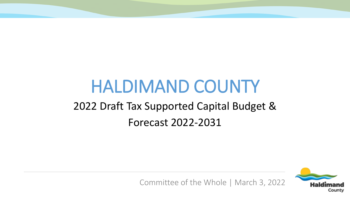# HALDIMAND COUNTY 2022 Draft Tax Supported Capital Budget & Forecast 2022-2031



Committee of the Whole | March 3, 2022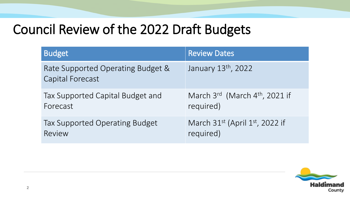# Council Review of the 2022 Draft Budgets

| <b>Budget</b>                                                | <b>Review Dates</b>                        |
|--------------------------------------------------------------|--------------------------------------------|
| Rate Supported Operating Budget &<br><b>Capital Forecast</b> | January 13th, 2022                         |
| Tax Supported Capital Budget and                             | March 3rd (March 4 <sup>th</sup> , 2021 if |
| Forecast                                                     | required)                                  |
| Tax Supported Operating Budget                               | March $31^{st}$ (April $1^{st}$ , 2022 if  |
| Review                                                       | required)                                  |

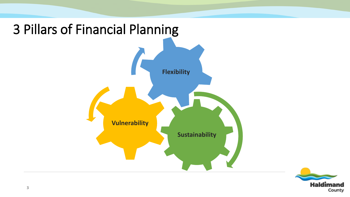

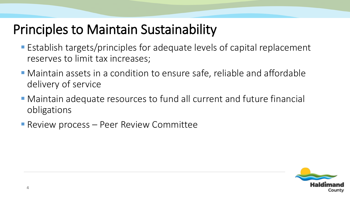## Principles to Maintain Sustainability

- Establish targets/principles for adequate levels of capital replacement reserves to limit tax increases;
- Maintain assets in a condition to ensure safe, reliable and affordable delivery of service
- Maintain adequate resources to fund all current and future financial obligations
- **Review process Peer Review Committee**

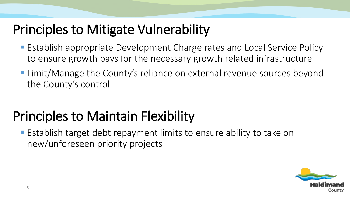# Principles to Mitigate Vulnerability

- **Establish appropriate Development Charge rates and Local Service Policy** to ensure growth pays for the necessary growth related infrastructure
- **Limit/Manage the County's reliance on external revenue sources beyond** the County's control

# Principles to Maintain Flexibility

**Establish target debt repayment limits to ensure ability to take on** new/unforeseen priority projects

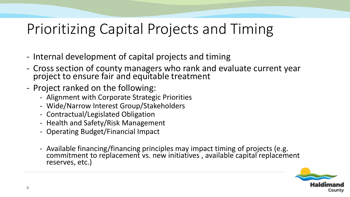# Prioritizing Capital Projects and Timing

- Internal development of capital projects and timing
- Cross section of county managers who rank and evaluate current year project to ensure fair and equitable treatment
- Project ranked on the following:
	- Alignment with Corporate Strategic Priorities
	- Wide/Narrow Interest Group/Stakeholders
	- Contractual/Legislated Obligation
	- Health and Safety/Risk Management
	- Operating Budget/Financial Impact
	- Available financing/financing principles may impact timing of projects (e.g. commitment to replacement vs. new initiatives, available capital replacement reserves, etc.)

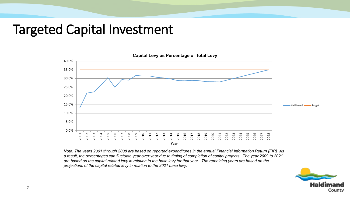#### Targeted Capital Investment



*Note: The years 2001 through 2008 are based on reported expenditures in the annual Financial Information Return (FIR) As a result, the percentages can fluctuate year over year due to timing of completion of capital projects. The year 2009 to 2021 are based on the capital related levy in relation to the base levy for that year. The remaining years are based on the projections of the capital related levy in relation to the 2021 base levy.* 

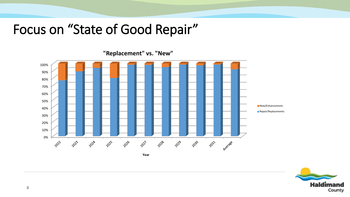### Focus on "State of Good Repair"

100% 90% 80% 70% 60% 50% **New/Enhancements** 40% **Repair/Replacements** 30% 20% 10% 0% 2031 2022 2024 2025 2026 2021 2028 2023 2029 2030 Ayerage **Year**

**"Replacement" vs. "New"**

**Haldimand** County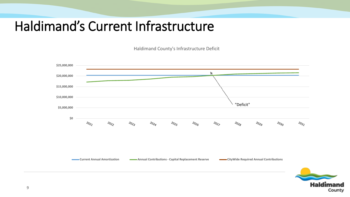### Haldimand's Current Infrastructure

Haldimand County's Infrastructure Deficit



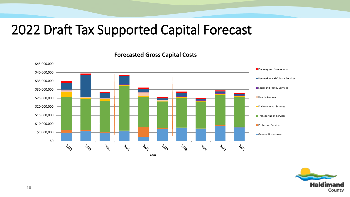## 2022 Draft Tax Supported Capital Forecast

\$45,000,000 **Planning and Development** \$40,000,000 Recreation and Cultural Services \$35,000,000 Social and Family Services \$30,000,000 **Health Services** \$25,000,000 \$20,000,000 **Environmental Services** \$15,000,000 **Transportation Services** \$10,000,000 **Protection Services** \$5,000,000 General Government \$0  $\psi_{\!\!\mathcal{S}\! \varphi}$ **LOCAT POS PO PO POLIC z**os **ZO**S **POSO POST Year**

**Forecasted Gross Capital Costs**

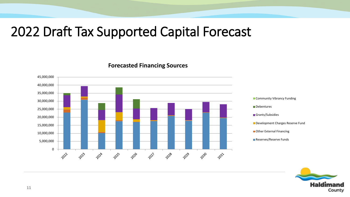#### 2022 Draft Tax Supported Capital Forecast

**Forecasted Financing Sources**



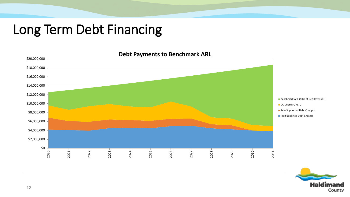## Long Term Debt Financing



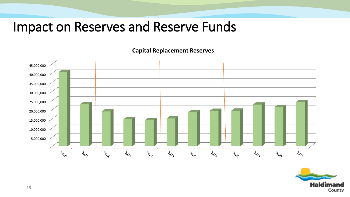#### Impact on Reserves and Reserve Funds

**Capital Replacement Reserves**



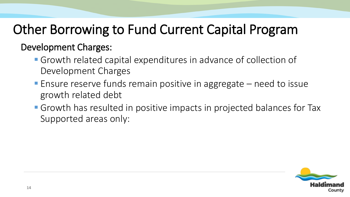# Other Borrowing to Fund Current Capital Program

#### Development Charges:

- Growth related capital expenditures in advance of collection of Development Charges
- **Ensure reserve funds remain positive in aggregate need to issue** growth related debt
- **Growth has resulted in positive impacts in projected balances for Tax** Supported areas only: